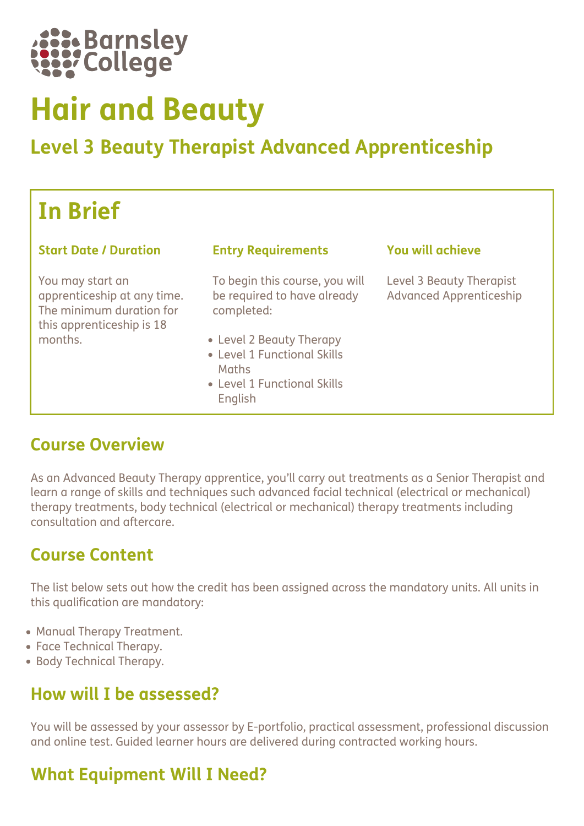

# Hair and Beauty

## Level 3 Beauty Therapist Advanced Apprenticeship

## In Brief

#### Start Date / Duration Entry Requirements You will achieve

You may start an apprenticeship at any time. The minimum duration for this apprenticeship is 18 months.

To begin this course, you will be required to have already completed:

- Level 2 Beauty Therapy
- Level 1 Functional Skills **Maths**
- Level 1 Functional Skills English

Level 3 Beauty Therapist Advanced Apprenticeship

#### Course Overview

As an Advanced Beauty Therapy apprentice, you'll carry out treatments as a Senior Therapist and learn a range of skills and techniques such advanced facial technical (electrical or mechanical) therapy treatments, body technical (electrical or mechanical) therapy treatments including consultation and aftercare.

## Course Content

The list below sets out how the credit has been assigned across the mandatory units. All units in this qualification are mandatory:

- Manual Therapy Treatment.
- Face Technical Therapy.
- Body Technical Therapy.

#### How will I be assessed?

You will be assessed by your assessor by E-portfolio, practical assessment, professional discussion and online test. Guided learner hours are delivered during contracted working hours.

## What Equipment Will I Need?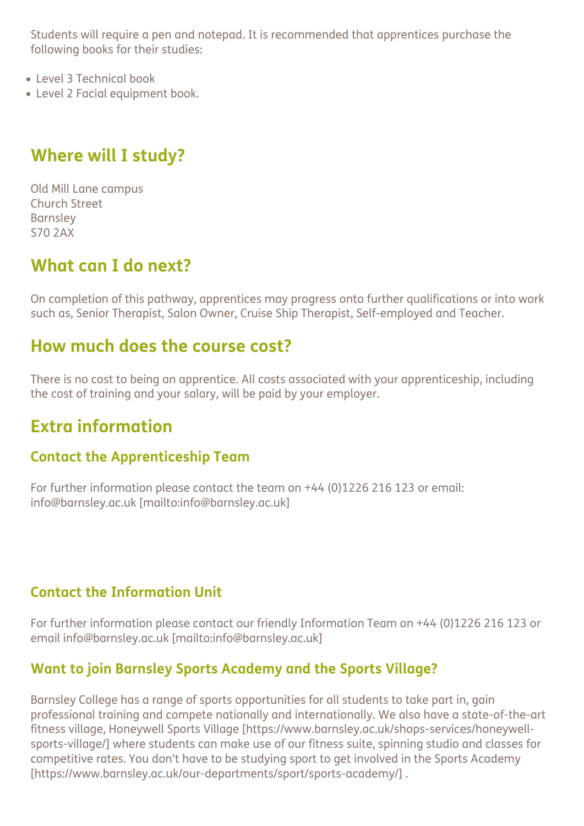Students will require a pen and notepad. It is recommended that apprentices purchase the following books for their studies:

- Level 3 Technical book
- Level 2 Facial equipment book.

## Where will I study?

Old Mill Lane campus Church Street Barnsley S70 2AX

## What can I do next?

On completion of this pathway, apprentices may progress onto further qualifications or into work such as, Senior Therapist, Salon Owner, Cruise Ship Therapist, Self-employed and Teacher.

#### How much does the course cost?

There is no cost to being an apprentice. All costs associated with your apprenticeship, including the cost of training and your salary, will be paid by your employer.

## Extra information

#### Contact the Apprenticeship Team

For further information please contact the team on +44 (0)1226 216 123 or email: info@barnsley.ac.uk [mailto:info@barnsley.ac.uk]

#### Contact the Information Unit

For further information please contact our friendly Information Team on +44 (0)1226 216 123 or email info@barnsley.ac.uk [mailto:info@barnsley.ac.uk]

#### Want to join Barnsley Sports Academy and the Sports Village?

Barnsley College has a range of sports opportunities for all students to take part in, gain professional training and compete nationally and internationally. We also have a state-of-the-art fitness village, Honeywell Sports Village [https://www.barnsley.ac.uk/shops-services/honeywellsports-village/] where students can make use of our fitness suite, spinning studio and classes for competitive rates. You don't have to be studying sport to get involved in the Sports Academy [https://www.barnsley.ac.uk/our-departments/sport/sports-academy/] .